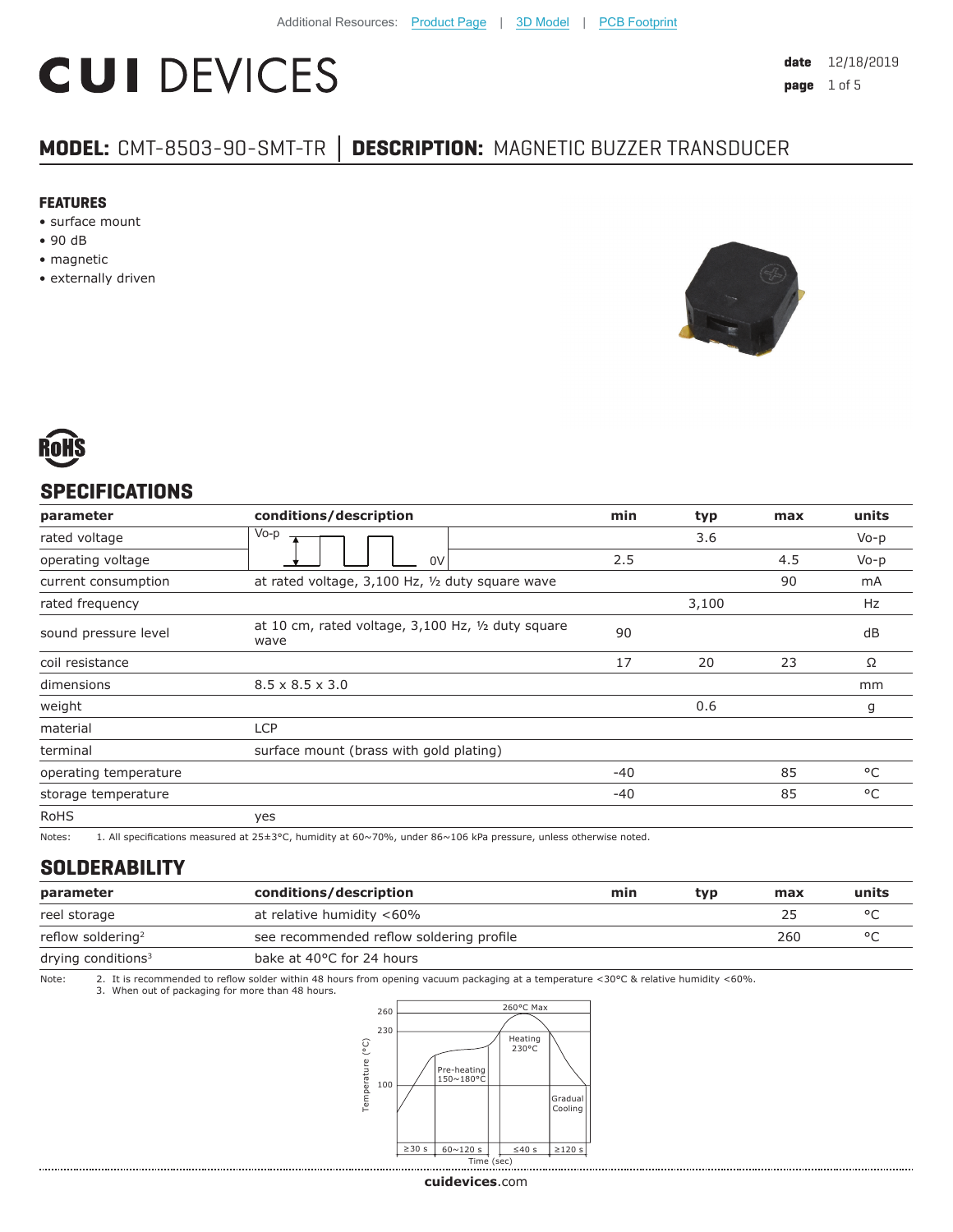# **CUI DEVICES**

# **MODEL:** CMT-8503-90-SMT-TR **│ DESCRIPTION:** MAGNETIC BUZZER TRANSDUCER

#### **FEATURES**

- surface mount
- 90 dB
- magnetic
- externally driven





### **SPECIFICATIONS**

| parameter             | conditions/description                                     | min   | typ   | max | units     |
|-----------------------|------------------------------------------------------------|-------|-------|-----|-----------|
| rated voltage         | Vo-p                                                       |       | 3.6   |     | $V_0 - p$ |
| operating voltage     | 0V                                                         | 2.5   |       | 4.5 | $V_0 - p$ |
| current consumption   | at rated voltage, 3,100 Hz, 1/2 duty square wave           |       |       | 90  | mA        |
| rated frequency       |                                                            |       | 3,100 |     | Hz        |
| sound pressure level  | at 10 cm, rated voltage, 3,100 Hz, 1/2 duty square<br>wave | 90    |       |     | dB        |
| coil resistance       |                                                            | 17    | 20    | 23  | Ω         |
| dimensions            | $8.5 \times 8.5 \times 3.0$                                |       |       |     | mm        |
| weight                |                                                            |       | 0.6   |     | g         |
| material              | <b>LCP</b>                                                 |       |       |     |           |
| terminal              | surface mount (brass with gold plating)                    |       |       |     |           |
| operating temperature |                                                            | $-40$ |       | 85  | °C        |
| storage temperature   |                                                            | $-40$ |       | 85  | °C        |
| <b>RoHS</b>           | yes                                                        |       |       |     |           |

Notes: 1. All specifications measured at 25±3°C, humidity at 60~70%, under 86~106 kPa pressure, unless otherwise noted.

#### **SOLDERABILITY**

| parameter                     | conditions/description                   | min | typ | max | units          |
|-------------------------------|------------------------------------------|-----|-----|-----|----------------|
| reel storage                  | at relative humidity <60%                |     |     | 25  |                |
| reflow soldering <sup>2</sup> | see recommended reflow soldering profile |     |     | 260 | $\circ$ $\cap$ |
| drying conditions $3$         | bake at 40°C for 24 hours                |     |     |     |                |

Note: 2. It is recommended to reflow solder within 48 hours from opening vacuum packaging at a temperature <30°C & relative humidity <60%.<br>3. When out of packaging for more than 48 hours.



**cui[devices](https://www.cuidevices.com/track?actionLabel=Datasheet-ClickThrough-HomePage&label=CMT-8503-90-SMT-TR.pdf&path=/)**.com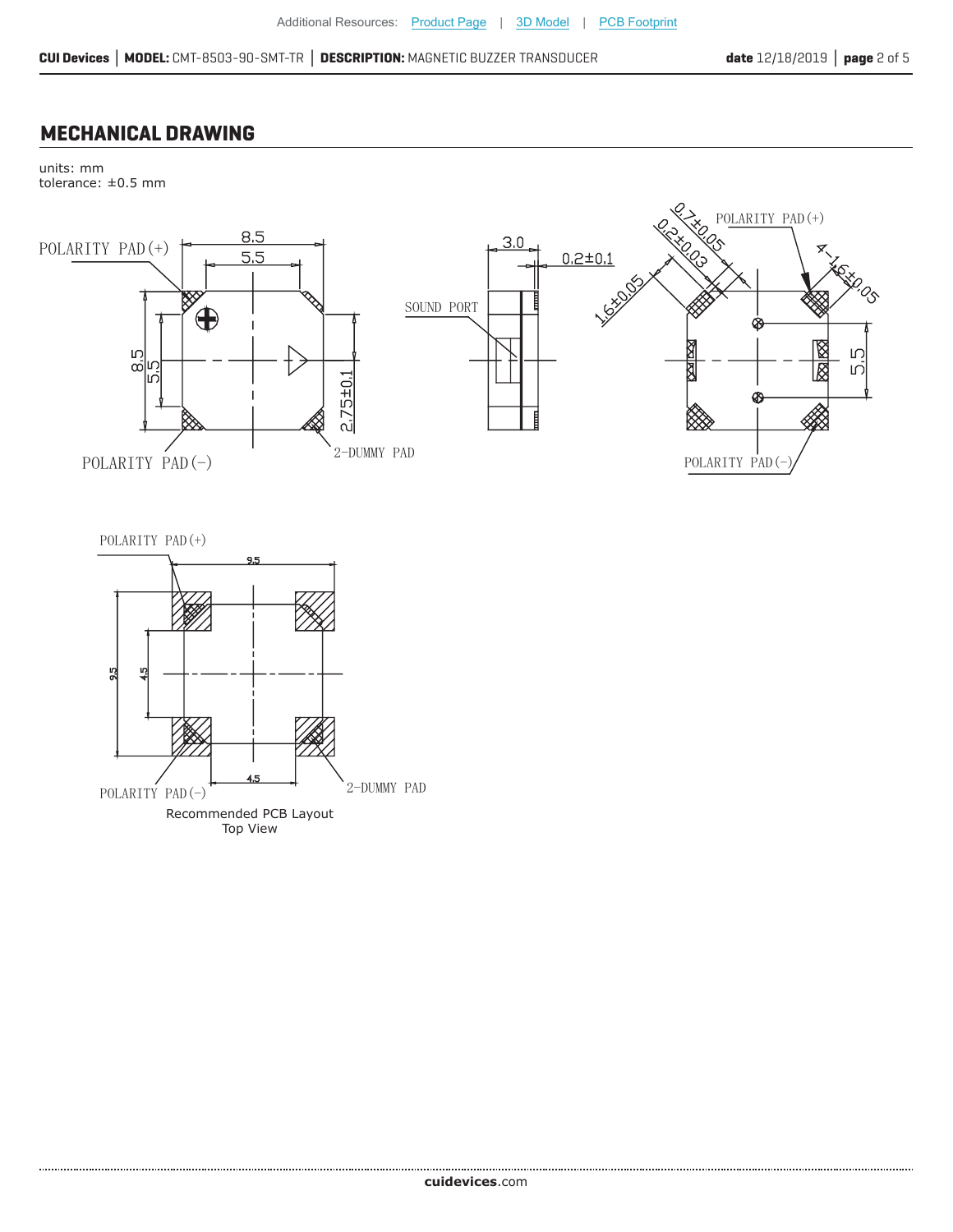## **MECHANICAL DRAWING**

units: mm tolerance: ±0.5 mm





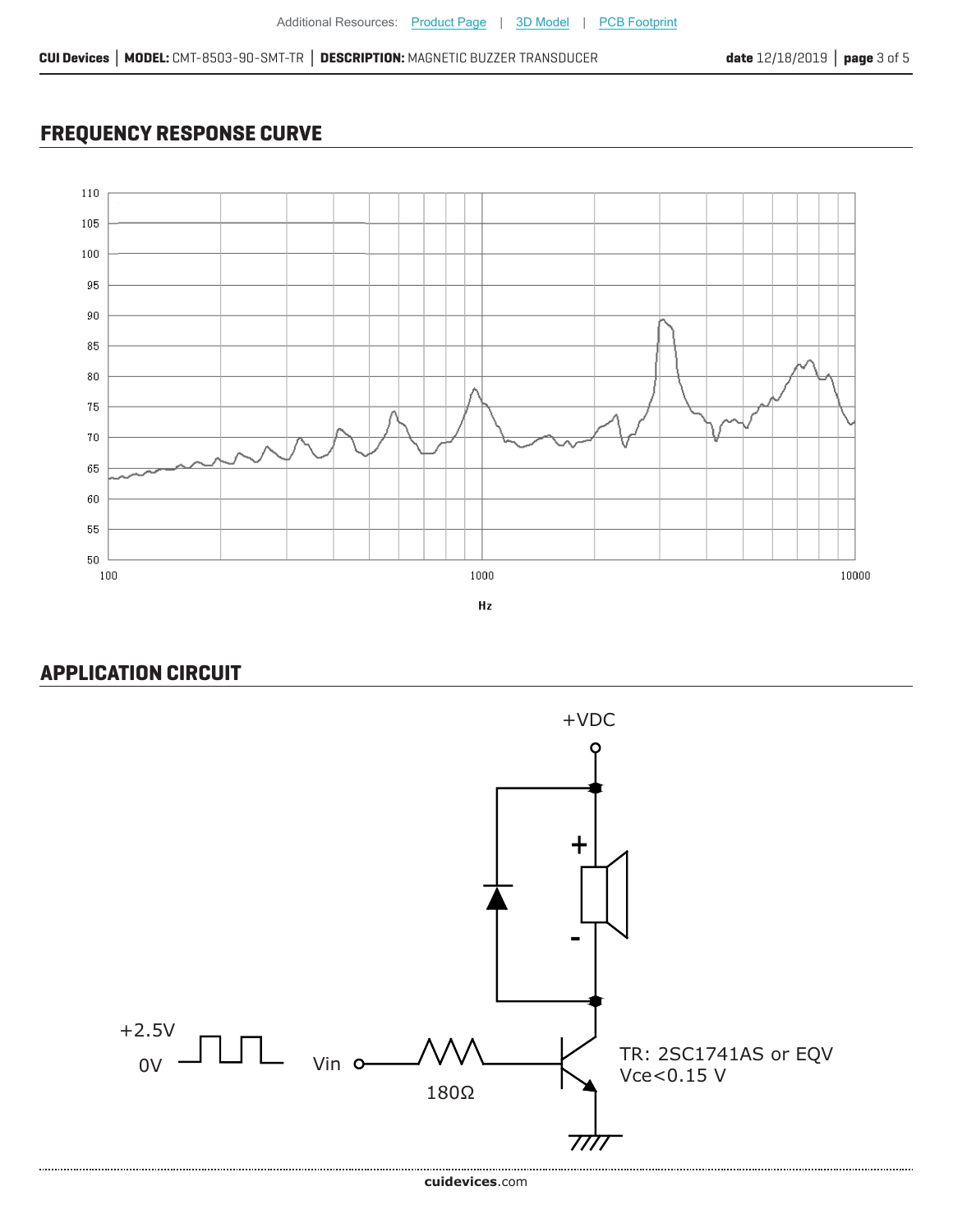# **FREQUENCY RESPONSE CURVE**



# **APPLICATION CIRCUIT**

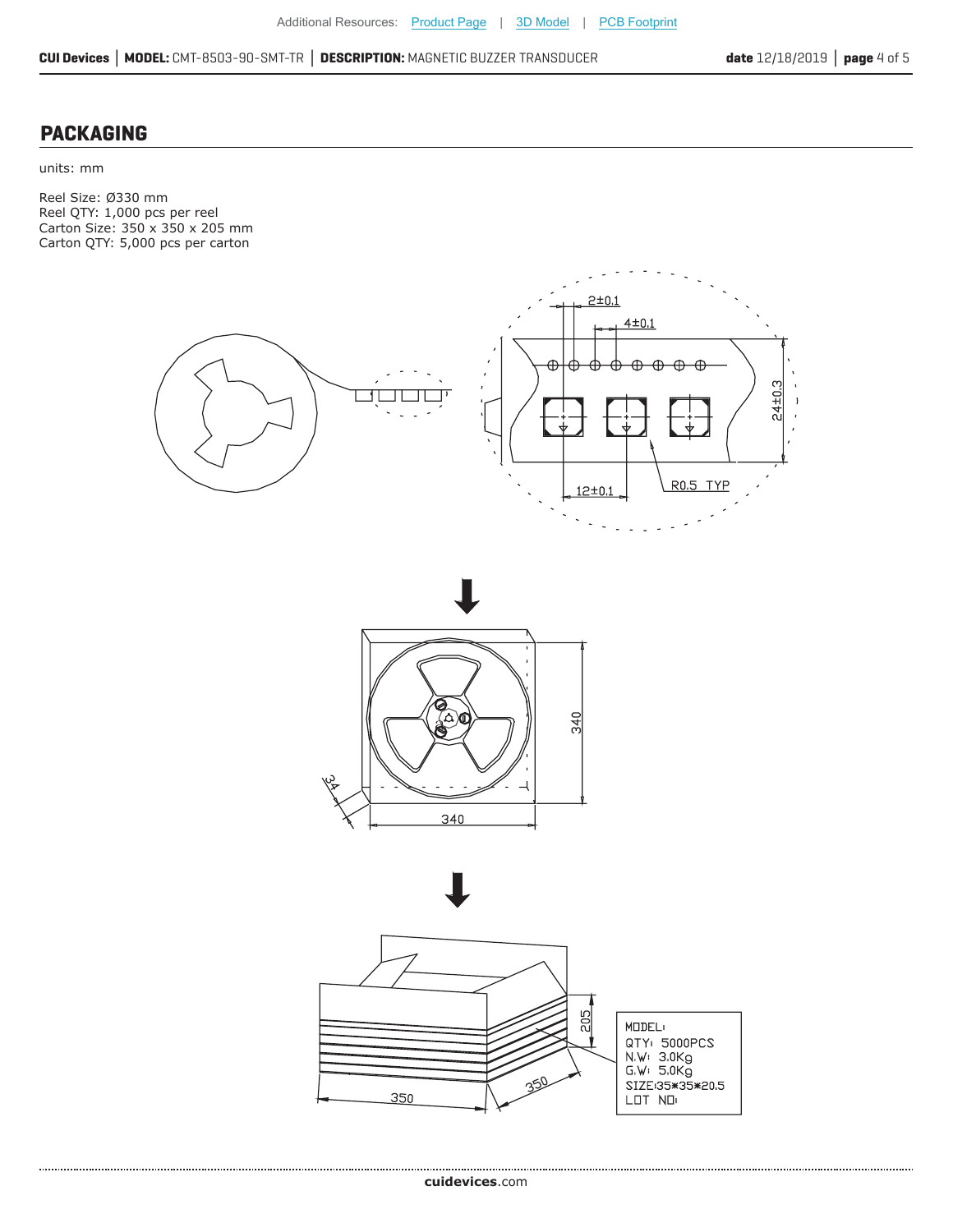#### **PACKAGING**

units: mm

Reel Size: Ø330 mm Reel QTY: 1,000 pcs per reel Carton Size: 350 x 350 x 205 mm Carton QTY: 5,000 pcs per carton